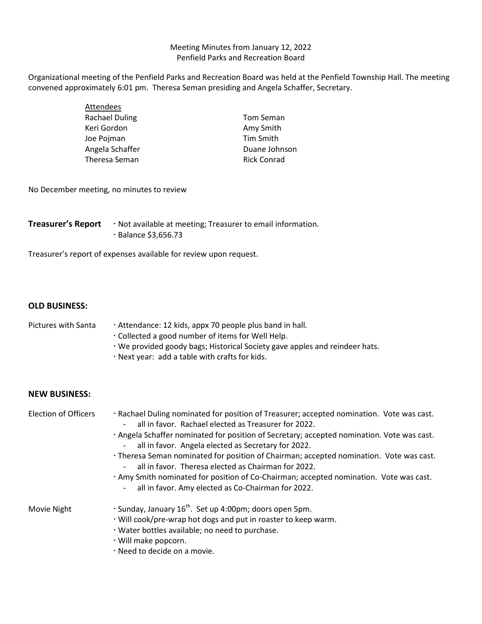## Meeting Minutes from January 12, 2022 Penfield Parks and Recreation Board

Organizational meeting of the Penfield Parks and Recreation Board was held at the Penfield Township Hall. The meeting convened approximately 6:01 pm. Theresa Seman presiding and Angela Schaffer, Secretary.

| Attendees             |                    |
|-----------------------|--------------------|
| <b>Rachael Duling</b> | Tom Seman          |
| Keri Gordon           | Amy Smith          |
| Joe Pojman            | Tim Smith          |
| Angela Schaffer       | Duane Johnson      |
| Theresa Seman         | <b>Rick Conrad</b> |

No December meeting, no minutes to review

| <b>Treasurer's Report</b> | . Not available at meeting; Treasurer to email information. |
|---------------------------|-------------------------------------------------------------|
|                           | $\cdot$ Balance \$3,656.73                                  |

Treasurer's report of expenses available for review upon request.

## **OLD BUSINESS:**

## Pictures with Santa  $\cdot$  Attendance: 12 kids, appx 70 people plus band in hall. Collected a good number of items for Well Help. We provided goody bags; Historical Society gave apples and reindeer hats.

Next year: add a table with crafts for kids.

## **NEW BUSINESS:**

| <b>Election of Officers</b> | · Rachael Duling nominated for position of Treasurer; accepted nomination. Vote was cast.<br>all in favor. Rachael elected as Treasurer for 2022.          |
|-----------------------------|------------------------------------------------------------------------------------------------------------------------------------------------------------|
|                             | · Angela Schaffer nominated for position of Secretary; accepted nomination. Vote was cast.<br>all in favor. Angela elected as Secretary for 2022.          |
|                             | · Theresa Seman nominated for position of Chairman; accepted nomination. Vote was cast.<br>all in favor. Theresa elected as Chairman for 2022.             |
|                             | · Amy Smith nominated for position of Co-Chairman; accepted nomination. Vote was cast.<br>all in favor. Amy elected as Co-Chairman for 2022.<br>$\sim$ $-$ |
| Movie Night                 | $\cdot$ Sunday, January 16 <sup>th</sup> . Set up 4:00pm; doors open 5pm.                                                                                  |
|                             | . Will cook/pre-wrap hot dogs and put in roaster to keep warm.                                                                                             |
|                             | . Water bottles available; no need to purchase.                                                                                                            |
|                             | · Will make popcorn.                                                                                                                                       |
|                             | e Nood to decide on a movie                                                                                                                                |

Need to decide on a movie.